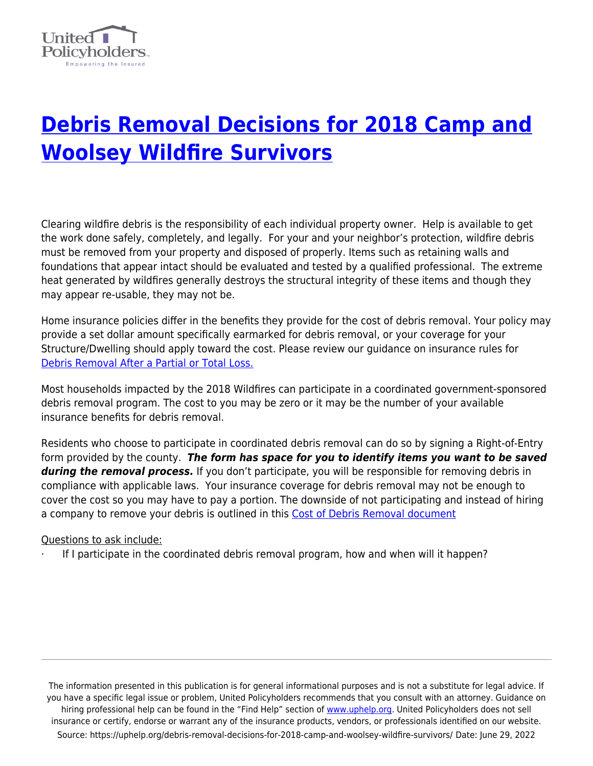

## **[Debris Removal Decisions for 2018 Camp and](https://uphelp.org/debris-removal-decisions-for-2018-camp-and-woolsey-wildfire-survivors/) [Woolsey Wildfire Survivors](https://uphelp.org/debris-removal-decisions-for-2018-camp-and-woolsey-wildfire-survivors/)**

Clearing wildfire debris is the responsibility of each individual property owner. Help is available to get the work done safely, completely, and legally. For your and your neighbor's protection, wildfire debris must be removed from your property and disposed of properly. Items such as retaining walls and foundations that appear intact should be evaluated and tested by a qualified professional. The extreme heat generated by wildfires generally destroys the structural integrity of these items and though they may appear re-usable, they may not be.

Home insurance policies differ in the benefits they provide for the cost of debris removal. Your policy may provide a set dollar amount specifically earmarked for debris removal, or your coverage for your Structure/Dwelling should apply toward the cost. Please review our guidance on insurance rules for [Debris Removal After a Partial or Total Loss.](https://uphelp.org/claim-guidance-publications/debris-removal-after-a-partial-or-total-loss/)

Most households impacted by the 2018 Wildfires can participate in a coordinated government-sponsored debris removal program. The cost to you may be zero or it may be the number of your available insurance benefits for debris removal.

Residents who choose to participate in coordinated debris removal can do so by signing a Right-of-Entry form provided by the county. *The form has space for you to identify items you want to be saved during the removal process.* If you don't participate, you will be responsible for removing debris in compliance with applicable laws. Your insurance coverage for debris removal may not be enough to cover the cost so you may have to pay a portion. The downside of not participating and instead of hiring a company to remove your debris is outlined in this [Cost of Debris Removal document](https://uphelp.org/wp-content/uploads/2020/09/debris_removal_insurance_scenario_102417.pdf)

## Questions to ask include:

If I participate in the coordinated debris removal program, how and when will it happen?

The information presented in this publication is for general informational purposes and is not a substitute for legal advice. If you have a specific legal issue or problem, United Policyholders recommends that you consult with an attorney. Guidance on hiring professional help can be found in the "Find Help" section of [www.uphelp.org.](http://www.uphelp.org/) United Policyholders does not sell insurance or certify, endorse or warrant any of the insurance products, vendors, or professionals identified on our website. Source: https://uphelp.org/debris-removal-decisions-for-2018-camp-and-woolsey-wildfire-survivors/ Date: June 29, 2022